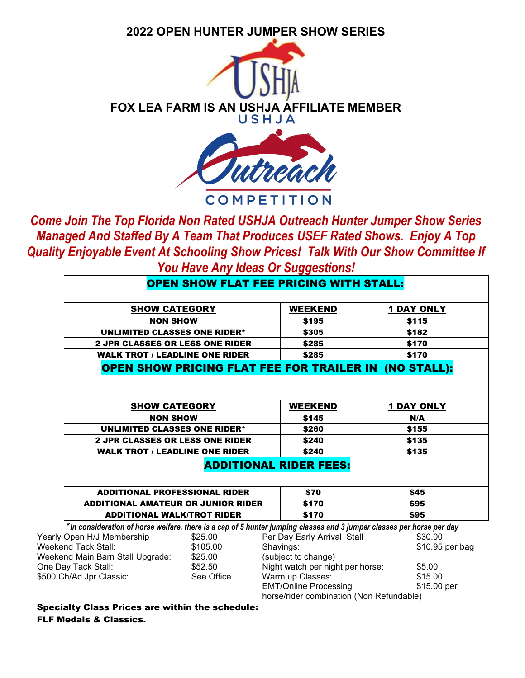## **2022 OPEN H[UNTER JUMPER S](http://www.hitsshows.com/m-s-insurance-league/m-s-insurance-league--2)HOW SERIES**



**COMPETITION** 

*Come Join The Top Florida Non Rated USHJA Outreach Hunter Jumper Show Series Managed And Staffed By A Team That Produces USEF Rated Shows. Enjoy A Top Quality Enjoyable Event At Schooling Show Prices! Talk With Our Show Committee If You Have Any Ideas Or Suggestions!* 

|                                                    | <b>OPEN SHOW FLAT FEE PRICING WITH STALL:</b> |                               |                                                                                                                       |
|----------------------------------------------------|-----------------------------------------------|-------------------------------|-----------------------------------------------------------------------------------------------------------------------|
|                                                    |                                               |                               |                                                                                                                       |
| <b>SHOW CATEGORY</b>                               |                                               | <b>WEEKEND</b>                | <b>1 DAY ONLY</b>                                                                                                     |
| <b>NON SHOW</b>                                    |                                               | \$195                         | \$115                                                                                                                 |
| <b>UNLIMITED CLASSES ONE RIDER*</b>                |                                               | \$305                         | \$182                                                                                                                 |
| <b>2 JPR CLASSES OR LESS ONE RIDER</b>             |                                               | \$285                         | \$170                                                                                                                 |
| <b>WALK TROT / LEADLINE ONE RIDER</b>              |                                               | \$285                         | \$170                                                                                                                 |
|                                                    |                                               |                               | <b>OPEN SHOW PRICING FLAT FEE FOR TRAILER IN (NO STALL):</b>                                                          |
|                                                    |                                               |                               |                                                                                                                       |
|                                                    |                                               |                               |                                                                                                                       |
|                                                    |                                               |                               |                                                                                                                       |
| <b>SHOW CATEGORY</b>                               |                                               | <b>WEEKEND</b>                | <b>1 DAY ONLY</b>                                                                                                     |
| <b>NON SHOW</b>                                    |                                               | \$145                         | N/A                                                                                                                   |
| <b>UNLIMITED CLASSES ONE RIDER*</b>                |                                               | \$260                         | \$155                                                                                                                 |
| <b>2 JPR CLASSES OR LESS ONE RIDER</b>             |                                               | \$240                         | \$135                                                                                                                 |
| <b>WALK TROT / LEADLINE ONE RIDER</b>              |                                               | \$240                         | \$135                                                                                                                 |
|                                                    |                                               | <b>ADDITIONAL RIDER FEES:</b> |                                                                                                                       |
|                                                    |                                               |                               |                                                                                                                       |
|                                                    |                                               |                               |                                                                                                                       |
| <b>ADDITIONAL PROFESSIONAL RIDER</b>               |                                               | \$70                          | \$45                                                                                                                  |
| <b>ADDITIONAL AMATEUR OR JUNIOR RIDER</b>          |                                               | \$170                         | \$95                                                                                                                  |
| <b>ADDITIONAL WALK/TROT RIDER</b><br>\$170<br>\$95 |                                               |                               |                                                                                                                       |
|                                                    |                                               |                               | *In consideration of horse welfare, there is a cap of 5 hunter jumping classes and 3 jumper classes per horse per day |
| Open H/J Membership                                | \$25.00                                       | Per Day Early Arrival Stall   | \$30.00                                                                                                               |

Yearly Weekend Tack Stall: \$105.00 Weekend Main Barn Stall Upgrade: \$25.00 One Day Tack Stall:  $$52.50$ \$500 Ch/Ad Jpr Classic: See Office Shavings: \$10.95 per bag (subject to change) Night watch per night per horse: \$5.00 Warm up Classes:  $$15.00$ EMT/Online Processing \$15.00 per

horse/rider combination (Non Refundable)

Specialty Class Prices are within the schedule: FLF Medals & Classics.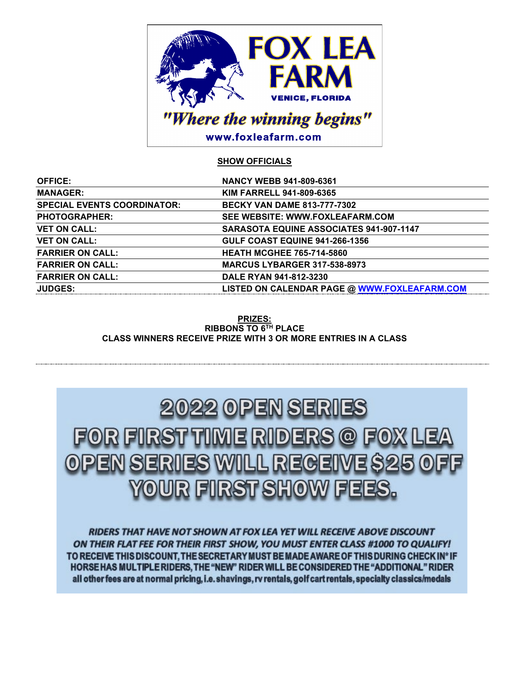

## **SHOW OFFICIALS**

| <b>OFFICE:</b>                     | NANCY WEBB 941-809-6361                             |
|------------------------------------|-----------------------------------------------------|
| <b>MANAGER:</b>                    | <b>KIM FARRELL 941-809-6365</b>                     |
| <b>SPECIAL EVENTS COORDINATOR:</b> | <b>BECKY VAN DAME 813-777-7302</b>                  |
| <b>PHOTOGRAPHER:</b>               | SEE WEBSITE: WWW.FOXLEAFARM.COM                     |
| <b>VET ON CALL:</b>                | <b>SARASOTA EQUINE ASSOCIATES 941-907-1147</b>      |
| <b>VET ON CALL:</b>                | <b>GULF COAST EQUINE 941-266-1356</b>               |
| <b>FARRIER ON CALL:</b>            | <b>HEATH MCGHEE 765-714-5860</b>                    |
| <b>FARRIER ON CALL:</b>            | <b>MARCUS LYBARGER 317-538-8973</b>                 |
| <b>FARRIER ON CALL:</b>            | DALE RYAN 941-812-3230                              |
| <b>JUDGES:</b>                     | <b>LISTED ON CALENDAR PAGE @ WWW.FOXLEAFARM.COM</b> |
|                                    |                                                     |

### **PRIZES: RIBBONS TO 6TH PLACE CLASS WINNERS RECEIVE PRIZE WITH 3 OR MORE ENTRIES IN A CLASS**

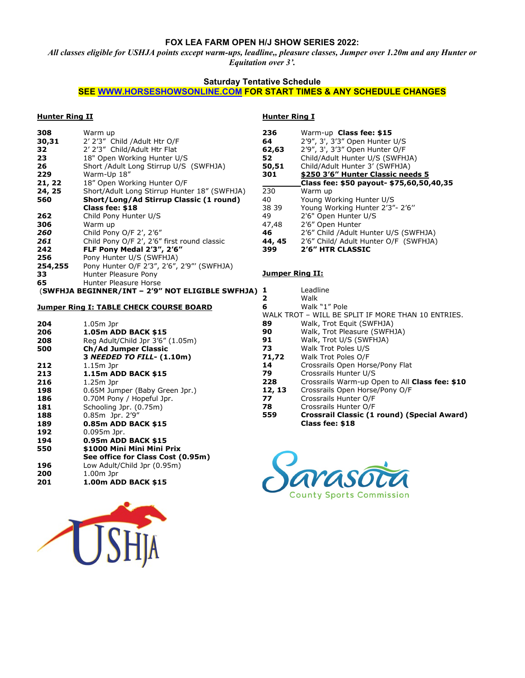## **FOX LEA FARM OPEN H/J SHOW SERIES 2022:**

*All classes eligible for USHJA points except warm-ups, leadline,, pleasure classes, Jumper over 1.20m and any Hunter or Equitation over 3'.*

## **Saturday Tentative Schedule**

## **SEE [WWW.HORSESHOWSONLINE.COM](http://www.horseshowsonline.com/) FOR START TIMES & ANY SCHEDULE CHANGES**

#### **Hunter Ring II**

| 308     | Warm up                                      |
|---------|----------------------------------------------|
| 30,31   | 2' 2'3" Child / Adult Htr O/F                |
| 32      | 2' 2'3" Child/Adult Htr Flat                 |
| 23      | 18" Open Working Hunter U/S                  |
| 26      | Short / Adult Long Stirrup U/S (SWFHJA)      |
| 229     | Warm-Up 18"                                  |
| 21, 22  | 18" Open Working Hunter O/F                  |
| 24, 25  | Short/Adult Long Stirrup Hunter 18" (SWFHJA) |
| 560     | Short/Long/Ad Stirrup Classic (1 round)      |
|         | Class fee: \$18                              |
| 262     | Child Pony Hunter U/S                        |
| 306     | Warm up                                      |
| 260     | Child Pony O/F 2', 2'6"                      |
| 261     | Child Pony O/F 2', 2'6" first round classic  |
| 242     | FLF Pony Medal 2'3", 2'6"                    |
| 256     | Pony Hunter U/S (SWFHJA)                     |
| 254,255 | Pony Hunter O/F 2'3", 2'6", 2'9"' (SWFHJA)   |
| 33      | Hunter Pleasure Pony                         |
| 65      | Hunter Pleasure Horse                        |

#### (**SWFHJA BEGINNER/INT – 2'9" NOT ELIGIBLE SWFHJA)**

#### **Jumper Ring I: TABLE CHECK COURSE BOARD**

| 204 | 1.05m Jpr                         |
|-----|-----------------------------------|
| 206 | 1.05m ADD BACK \$15               |
| 208 | Reg Adult/Child Jpr 3'6" (1.05m)  |
| 500 | <b>Ch/Ad Jumper Classic</b>       |
|     | 3 NEEDED TO FILL- (1.10m)         |
| 212 | $1.15m$ Jpr                       |
| 213 | 1.15m ADD BACK \$15               |
| 216 | $1.25m$ Jpr                       |
| 198 | 0.65M Jumper (Baby Green Jpr.)    |
| 186 | 0.70M Pony / Hopeful Jpr.         |
| 181 | Schooling Jpr. (0.75m)            |
| 188 | 0.85m Jpr. 2'9"                   |
| 189 | 0.85m ADD BACK \$15               |
| 192 | $0.095m$ Jpr.                     |
| 194 | 0.95m ADD BACK \$15               |
| 550 | \$1000 Mini Mini Mini Prix        |
|     | See office for Class Cost (0.95m) |
| 196 | Low Adult/Child Jpr (0.95m)       |
| 200 | $1.00m$ Jpr                       |
| 201 | 1.00m ADD BACK \$15               |



#### **Hunter Ring I**

| 236    | Warm-up Class fee: \$15                  |
|--------|------------------------------------------|
| 64     | 2'9", 3', 3'3" Open Hunter U/S           |
| 62,63  | 2'9", 3', 3'3" Open Hunter O/F           |
| 52     | Child/Adult Hunter U/S (SWFHJA)          |
| 50,51  | Child/Adult Hunter 3' (SWFHJA)           |
| 301    | \$250 3'6" Hunter Classic needs 5        |
|        | Class fee: \$50 payout- \$75,60,50,40,35 |
| 230    | Warm up                                  |
| 40     | Young Working Hunter U/S                 |
| 38 39  | Young Working Hunter 2'3"- 2'6"          |
| 49     | 2'6" Open Hunter U/S                     |
| 47,48  | 2'6" Open Hunter                         |
| 46     | 2'6" Child / Adult Hunter U/S (SWFHJA)   |
| 44, 45 | 2'6" Child/ Adult Hunter O/F (SWFHJA)    |
| 399    | 2'6" HTR CLASSIC                         |

#### **Jumper Ring II:**

| 1      | Leadline                                           |
|--------|----------------------------------------------------|
| 2      | Walk                                               |
| 6      | Walk "1" Pole                                      |
|        | WALK TROT – WILL BE SPLIT IF MORE THAN 10 ENTRIES. |
| 89     | Walk, Trot Equit (SWFHJA)                          |
| 90     | Walk, Trot Pleasure (SWFHJA)                       |
| 91     | Walk, Trot U/S (SWFHJA)                            |
| 73     | Walk Trot Poles U/S                                |
| 71,72  | Walk Trot Poles O/F                                |
| 14     | Crossrails Open Horse/Pony Flat                    |
| 79     | Crossrails Hunter U/S                              |
| 228    | Crossrails Warm-up Open to All Class fee: \$10     |
| 12, 13 | Crossrails Open Horse/Pony O/F                     |
| 77     | Crossrails Hunter O/F                              |
| 78     | Crossrails Hunter O/F                              |
| 559    | Crossrail Classic (1 round) (Special Award)        |
|        | Class fee: \$18                                    |

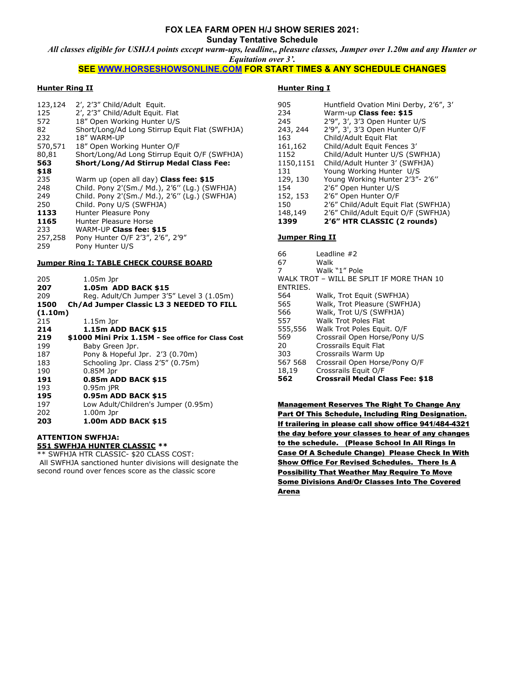#### **FOX LEA FARM OPEN H/J SHOW SERIES 2021: Sunday Tentative Schedule**

*All classes eligible for USHJA points except warm-ups, leadline,, pleasure classes, Jumper over 1.20m and any Hunter or Equitation over 3'.*

#### **SEE [WWW.HORSESHOWSONLINE.COM](http://www.horseshowsonline.com/) FOR START TIMES & ANY SCHEDULE CHANGES**

#### **Hunter Ring II**

| 123,124<br>125<br>572<br>82<br>232<br>570,571<br>80,81<br>563 | 2', 2'3" Child/Adult Equit.<br>2', 2'3" Child/Adult Equit. Flat<br>18" Open Working Hunter U/S<br>Short/Long/Ad Long Stirrup Equit Flat (SWFHJA)<br>18" WARM-UP<br>18" Open Working Hunter O/F<br>Short/Long/Ad Long Stirrup Equit O/F (SWFHJA)<br>Short/Long/Ad Stirrup Medal Class Fee: |
|---------------------------------------------------------------|-------------------------------------------------------------------------------------------------------------------------------------------------------------------------------------------------------------------------------------------------------------------------------------------|
| \$18                                                          |                                                                                                                                                                                                                                                                                           |
| 235                                                           | Warm up (open all day) Class fee: \$15                                                                                                                                                                                                                                                    |
| 248                                                           | Child. Pony 2'(Sm./ Md.), 2'6" (Lg.) (SWFHJA)                                                                                                                                                                                                                                             |
| 249                                                           | Child. Pony 2'(Sm./ Md.), 2'6" (Lg.) (SWFHJA)                                                                                                                                                                                                                                             |
| 250                                                           | Child. Pony U/S (SWFHJA)                                                                                                                                                                                                                                                                  |
| 1133                                                          | Hunter Pleasure Pony                                                                                                                                                                                                                                                                      |
| 1165                                                          | Hunter Pleasure Horse                                                                                                                                                                                                                                                                     |
| 233                                                           | WARM-UP Class fee: \$15                                                                                                                                                                                                                                                                   |
| 257,258<br>259                                                | Pony Hunter O/F 2'3", 2'6", 2'9"<br>Pony Hunter U/S                                                                                                                                                                                                                                       |
|                                                               |                                                                                                                                                                                                                                                                                           |
|                                                               | <b>Jumper Ring I: TABLE CHECK COURSE BOARD</b>                                                                                                                                                                                                                                            |
| 205                                                           | $1.05m$ Jpr                                                                                                                                                                                                                                                                               |
| 207                                                           | 1.05m ADD BACK \$15                                                                                                                                                                                                                                                                       |
| 209                                                           | Reg. Adult/Ch Jumper 3'5" Level 3 (1.05m)                                                                                                                                                                                                                                                 |
| 1500                                                          | Ch/Ad Jumper Classic L3 3 NEEDED TO FILL                                                                                                                                                                                                                                                  |
| (1.10m)                                                       |                                                                                                                                                                                                                                                                                           |
| 215                                                           | $1.15m$ Jpr                                                                                                                                                                                                                                                                               |
| 214                                                           | 1.15m ADD BACK \$15                                                                                                                                                                                                                                                                       |
| 219                                                           | \$1000 Mini Prix 1.15M - See office for Class Cost                                                                                                                                                                                                                                        |

## **219 \$1000 Mini Prix 1.15M - See office for Class Cost**  199 Baby Green Jpr. 187 Pony & Hopeful Jpr. 2'3 (0.70m)<br>183 Schooling Jpr. Class 2'5" (0.75m) 183 Schooling Jpr. Class 2'5" (0.75m)<br>190 0.85M Jpr 0.85M Jpr **191 0.85m ADD BACK \$15** 193 0.95m jPR<br>**195 0.95m AD 195 0.95m ADD BACK \$15**<br>197 Low Adult/Children's Jun Low Adult/Children's Jumper (0.95m)

202 1.00m Jpr<br>**203 1.00m AD 203 1.00m ADD BACK \$15**

# **ATTENTION SWFHJA:**

**551 SWFHJA HUNTER CLASSIC \*\*** \*\* SWFHJA HTR CLASSIC- \$20 CLASS COST:

All SWFHJA sanctioned hunter divisions will designate the second round over fences score as the classic score

#### **Hunter Ring I**

| 1399      | 2'6" HTR CLASSIC (2 rounds)            |
|-----------|----------------------------------------|
| 148,149   | 2'6" Child/Adult Equit O/F (SWFHJA)    |
| 150       | 2'6" Child/Adult Equit Flat (SWFHJA)   |
| 152, 153  | 2'6" Open Hunter O/F                   |
| 154       | 2'6" Open Hunter U/S                   |
| 129, 130  | Young Working Hunter 2'3"- 2'6"        |
| 131       | Young Working Hunter U/S               |
| 1150,1151 | Child/Adult Hunter 3' (SWFHJA)         |
| 1152      | Child/Adult Hunter U/S (SWFHJA)        |
| 161,162   | Child/Adult Equit Fences 3'            |
| 163       | Child/Adult Equit Flat                 |
| 243, 244  | 2'9", 3', 3'3 Open Hunter O/F          |
| 245       | 2'9", 3', 3'3 Open Hunter U/S          |
| 234       | Warm-up Class fee: \$15                |
| 905       | Huntfield Ovation Mini Derby, 2'6", 3' |

#### **Jumper Ring II**

| 66<br>67 | Leadline #2<br>Walk                       |
|----------|-------------------------------------------|
| 7        | Walk "1" Pole                             |
|          | WALK TROT - WILL BE SPLIT IF MORE THAN 10 |
| ENTRIES. |                                           |
| 564      | Walk, Trot Equit (SWFHJA)                 |
| 565      | Walk, Trot Pleasure (SWFHJA)              |
| 566      | Walk, Trot U/S (SWFHJA)                   |
| 557      | Walk Trot Poles Flat                      |
| 555,556  | Walk Trot Poles Equit. O/F                |
| 569      | Crossrail Open Horse/Pony U/S             |
| 20       | Crossrails Equit Flat                     |
| 303      | Crossrails Warm Up                        |
| 567 568  | Crossrail Open Horse/Pony O/F             |
| 18,19    | Crossrails Equit O/F                      |
| 562      | <b>Crossrail Medal Class Fee: \$18</b>    |

Management Reserves The Right To Change Any Part Of This Schedule, Including Ring Designation. If trailering in please call show office 941/484-4321 the day before your classes to hear of any changes to the schedule. (Please School In All Rings In Case Of A Schedule Change) Please Check In With Show Office For Revised Schedules. There Is A Possibility That Weather May Require To Move Some Divisions And/Or Classes Into The Covered Arena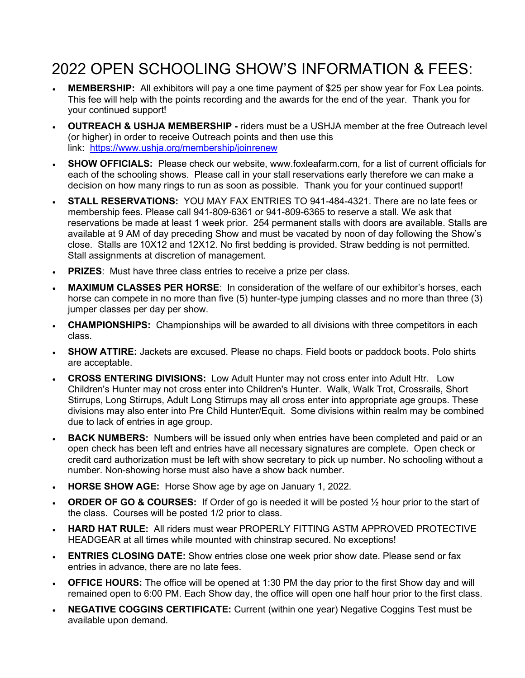# 2022 OPEN SCHOOLING SHOW'S INFORMATION & FEES:

- **MEMBERSHIP:** All exhibitors will pay a one time payment of \$25 per show year for Fox Lea points. This fee will help with the points recording and the awards for the end of the year. Thank you for your continued support!
- **OUTREACH & USHJA MEMBERSHIP -** riders must be a USHJA member at the free Outreach level (or higher) in order to receive Outreach points and then use this link: <https://www.ushja.org/membership/joinrenew>
- **SHOW OFFICIALS:** Please check our website, www.foxleafarm.com, for a list of current officials for each of the schooling shows. Please call in your stall reservations early therefore we can make a decision on how many rings to run as soon as possible. Thank you for your continued support!
- **STALL RESERVATIONS:** YOU MAY FAX ENTRIES TO 941-484-4321. There are no late fees or membership fees. Please call 941-809-6361 or 941-809-6365 to reserve a stall. We ask that reservations be made at least 1 week prior. 254 permanent stalls with doors are available. Stalls are available at 9 AM of day preceding Show and must be vacated by noon of day following the Show's close. Stalls are 10X12 and 12X12. No first bedding is provided. Straw bedding is not permitted. Stall assignments at discretion of management.
- **PRIZES**: Must have three class entries to receive a prize per class.
- **MAXIMUM CLASSES PER HORSE**: In consideration of the welfare of our exhibitor's horses, each horse can compete in no more than five (5) hunter-type jumping classes and no more than three (3) jumper classes per day per show.
- **CHAMPIONSHIPS:** Championships will be awarded to all divisions with three competitors in each class.
- **SHOW ATTIRE:** Jackets are excused. Please no chaps. Field boots or paddock boots. Polo shirts are acceptable.
- **CROSS ENTERING DIVISIONS:** Low Adult Hunter may not cross enter into Adult Htr. Low Children's Hunter may not cross enter into Children's Hunter. Walk, Walk Trot, Crossrails, Short Stirrups, Long Stirrups, Adult Long Stirrups may all cross enter into appropriate age groups. These divisions may also enter into Pre Child Hunter/Equit. Some divisions within realm may be combined due to lack of entries in age group.
- **BACK NUMBERS:** Numbers will be issued only when entries have been completed and paid or an open check has been left and entries have all necessary signatures are complete. Open check or credit card authorization must be left with show secretary to pick up number. No schooling without a number. Non-showing horse must also have a show back number.
- **HORSE SHOW AGE:** Horse Show age by age on January 1, 2022.
- **ORDER OF GO & COURSES:** If Order of go is needed it will be posted ½ hour prior to the start of the class. Courses will be posted 1/2 prior to class.
- **HARD HAT RULE:** All riders must wear PROPERLY FITTING ASTM APPROVED PROTECTIVE HEADGEAR at all times while mounted with chinstrap secured. No exceptions!
- **ENTRIES CLOSING DATE:** Show entries close one week prior show date. Please send or fax entries in advance, there are no late fees.
- **OFFICE HOURS:** The office will be opened at 1:30 PM the day prior to the first Show day and will remained open to 6:00 PM. Each Show day, the office will open one half hour prior to the first class.
- **NEGATIVE COGGINS CERTIFICATE:** Current (within one year) Negative Coggins Test must be available upon demand.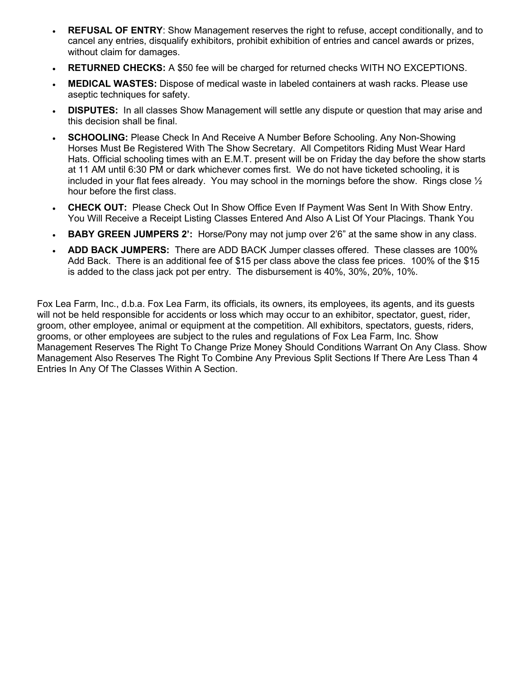- **REFUSAL OF ENTRY**: Show Management reserves the right to refuse, accept conditionally, and to cancel any entries, disqualify exhibitors, prohibit exhibition of entries and cancel awards or prizes, without claim for damages.
- **RETURNED CHECKS:** A \$50 fee will be charged for returned checks WITH NO EXCEPTIONS.
- **MEDICAL WASTES:** Dispose of medical waste in labeled containers at wash racks. Please use aseptic techniques for safety.
- **DISPUTES:** In all classes Show Management will settle any dispute or question that may arise and this decision shall be final.
- **SCHOOLING:** Please Check In And Receive A Number Before Schooling. Any Non-Showing Horses Must Be Registered With The Show Secretary. All Competitors Riding Must Wear Hard Hats. Official schooling times with an E.M.T. present will be on Friday the day before the show starts at 11 AM until 6:30 PM or dark whichever comes first. We do not have ticketed schooling, it is included in your flat fees already. You may school in the mornings before the show. Rings close  $\frac{1}{2}$ hour before the first class.
- **CHECK OUT:** Please Check Out In Show Office Even If Payment Was Sent In With Show Entry. You Will Receive a Receipt Listing Classes Entered And Also A List Of Your Placings. Thank You
- **BABY GREEN JUMPERS 2':** Horse/Pony may not jump over 2'6" at the same show in any class.
- **ADD BACK JUMPERS:** There are ADD BACK Jumper classes offered. These classes are 100% Add Back. There is an additional fee of \$15 per class above the class fee prices. 100% of the \$15 is added to the class jack pot per entry. The disbursement is 40%, 30%, 20%, 10%.

Fox Lea Farm, Inc., d.b.a. Fox Lea Farm, its officials, its owners, its employees, its agents, and its guests will not be held responsible for accidents or loss which may occur to an exhibitor, spectator, guest, rider, groom, other employee, animal or equipment at the competition. All exhibitors, spectators, guests, riders, grooms, or other employees are subject to the rules and regulations of Fox Lea Farm, Inc. Show Management Reserves The Right To Change Prize Money Should Conditions Warrant On Any Class. Show Management Also Reserves The Right To Combine Any Previous Split Sections If There Are Less Than 4 Entries In Any Of The Classes Within A Section.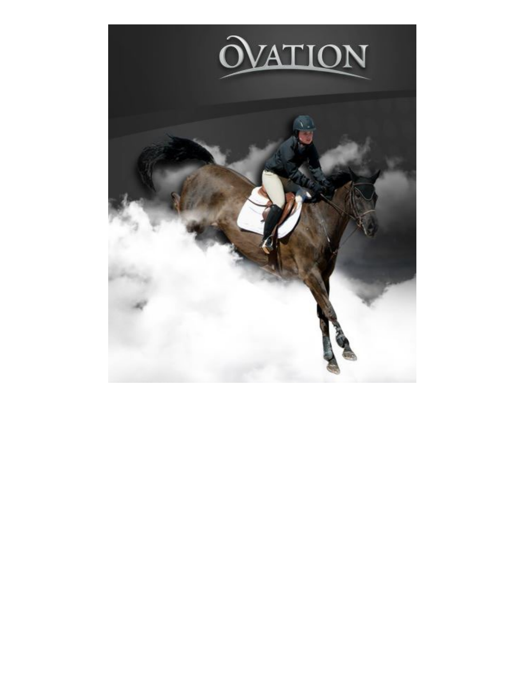